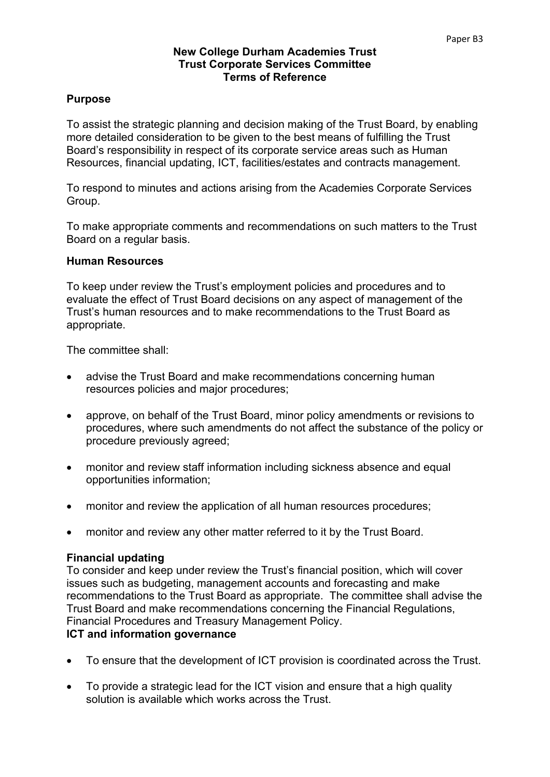#### **New College Durham Academies Trust Trust Corporate Services Committee Terms of Reference**

## **Purpose**

To assist the strategic planning and decision making of the Trust Board, by enabling more detailed consideration to be given to the best means of fulfilling the Trust Board's responsibility in respect of its corporate service areas such as Human Resources, financial updating, ICT, facilities/estates and contracts management.

To respond to minutes and actions arising from the Academies Corporate Services Group.

To make appropriate comments and recommendations on such matters to the Trust Board on a regular basis.

### **Human Resources**

To keep under review the Trust's employment policies and procedures and to evaluate the effect of Trust Board decisions on any aspect of management of the Trust's human resources and to make recommendations to the Trust Board as appropriate.

The committee shall:

- advise the Trust Board and make recommendations concerning human resources policies and major procedures;
- approve, on behalf of the Trust Board, minor policy amendments or revisions to procedures, where such amendments do not affect the substance of the policy or procedure previously agreed;
- monitor and review staff information including sickness absence and equal opportunities information;
- monitor and review the application of all human resources procedures;
- monitor and review any other matter referred to it by the Trust Board.

### **Financial updating**

To consider and keep under review the Trust's financial position, which will cover issues such as budgeting, management accounts and forecasting and make recommendations to the Trust Board as appropriate. The committee shall advise the Trust Board and make recommendations concerning the Financial Regulations, Financial Procedures and Treasury Management Policy.

### **ICT and information governance**

- To ensure that the development of ICT provision is coordinated across the Trust.
- To provide a strategic lead for the ICT vision and ensure that a high quality solution is available which works across the Trust.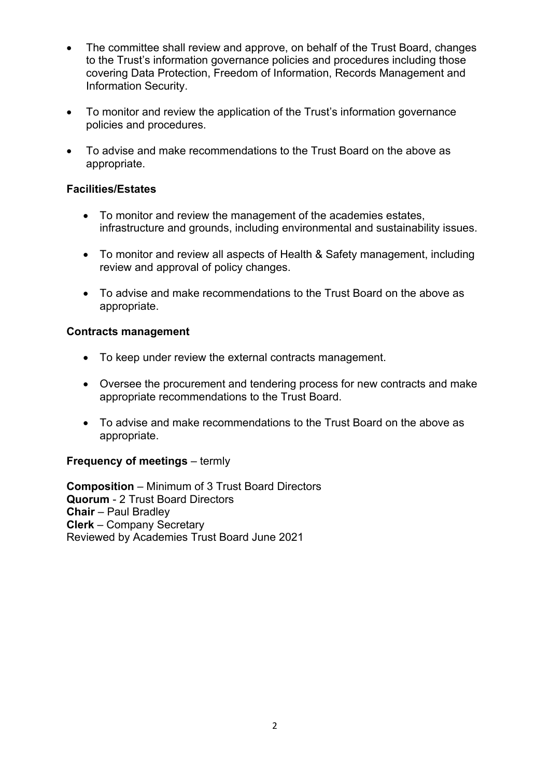- The committee shall review and approve, on behalf of the Trust Board, changes to the Trust's information governance policies and procedures including those covering Data Protection, Freedom of Information, Records Management and Information Security.
- To monitor and review the application of the Trust's information governance policies and procedures.
- To advise and make recommendations to the Trust Board on the above as appropriate.

## **Facilities/Estates**

- To monitor and review the management of the academies estates, infrastructure and grounds, including environmental and sustainability issues.
- To monitor and review all aspects of Health & Safety management, including review and approval of policy changes.
- To advise and make recommendations to the Trust Board on the above as appropriate.

### **Contracts management**

- To keep under review the external contracts management.
- Oversee the procurement and tendering process for new contracts and make appropriate recommendations to the Trust Board.
- To advise and make recommendations to the Trust Board on the above as appropriate.

## **Frequency of meetings** – termly

**Composition** – Minimum of 3 Trust Board Directors **Quorum** - 2 Trust Board Directors **Chair** – Paul Bradley **Clerk** – Company Secretary Reviewed by Academies Trust Board June 2021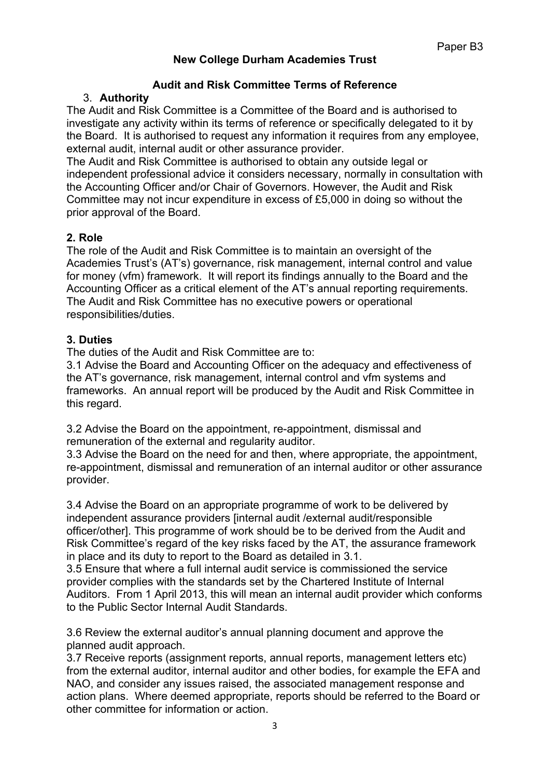# **New College Durham Academies Trust**

## **Audit and Risk Committee Terms of Reference**

# 3. **Authority**

The Audit and Risk Committee is a Committee of the Board and is authorised to investigate any activity within its terms of reference or specifically delegated to it by the Board. It is authorised to request any information it requires from any employee, external audit, internal audit or other assurance provider.

The Audit and Risk Committee is authorised to obtain any outside legal or independent professional advice it considers necessary, normally in consultation with the Accounting Officer and/or Chair of Governors. However, the Audit and Risk Committee may not incur expenditure in excess of £5,000 in doing so without the prior approval of the Board.

## **2. Role**

The role of the Audit and Risk Committee is to maintain an oversight of the Academies Trust's (AT's) governance, risk management, internal control and value for money (vfm) framework. It will report its findings annually to the Board and the Accounting Officer as a critical element of the AT's annual reporting requirements. The Audit and Risk Committee has no executive powers or operational responsibilities/duties.

### **3. Duties**

The duties of the Audit and Risk Committee are to:

3.1 Advise the Board and Accounting Officer on the adequacy and effectiveness of the AT's governance, risk management, internal control and vfm systems and frameworks. An annual report will be produced by the Audit and Risk Committee in this regard.

3.2 Advise the Board on the appointment, re-appointment, dismissal and remuneration of the external and regularity auditor.

3.3 Advise the Board on the need for and then, where appropriate, the appointment, re-appointment, dismissal and remuneration of an internal auditor or other assurance provider.

3.4 Advise the Board on an appropriate programme of work to be delivered by independent assurance providers [internal audit /external audit/responsible officer/other]. This programme of work should be to be derived from the Audit and Risk Committee's regard of the key risks faced by the AT, the assurance framework in place and its duty to report to the Board as detailed in 3.1.

3.5 Ensure that where a full internal audit service is commissioned the service provider complies with the standards set by the Chartered Institute of Internal Auditors. From 1 April 2013, this will mean an internal audit provider which conforms to the Public Sector Internal Audit Standards.

3.6 Review the external auditor's annual planning document and approve the planned audit approach.

3.7 Receive reports (assignment reports, annual reports, management letters etc) from the external auditor, internal auditor and other bodies, for example the EFA and NAO, and consider any issues raised, the associated management response and action plans. Where deemed appropriate, reports should be referred to the Board or other committee for information or action.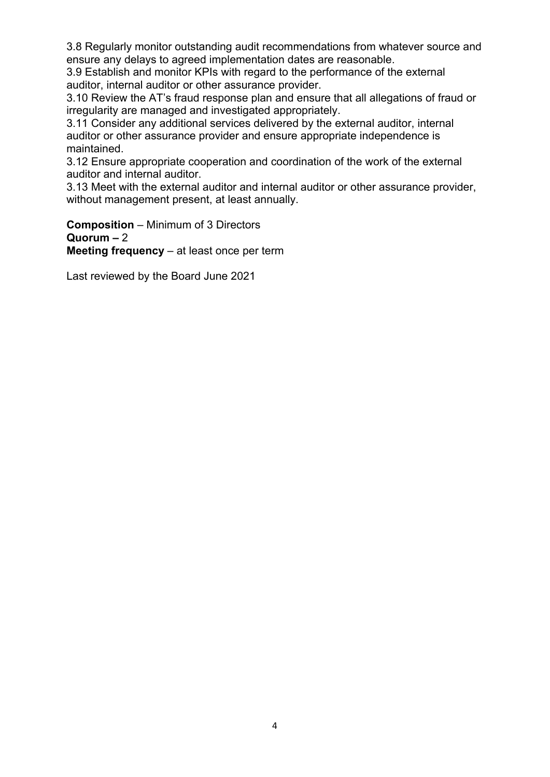3.8 Regularly monitor outstanding audit recommendations from whatever source and ensure any delays to agreed implementation dates are reasonable.

3.9 Establish and monitor KPIs with regard to the performance of the external auditor, internal auditor or other assurance provider.

3.10 Review the AT's fraud response plan and ensure that all allegations of fraud or irregularity are managed and investigated appropriately.

3.11 Consider any additional services delivered by the external auditor, internal auditor or other assurance provider and ensure appropriate independence is maintained.

3.12 Ensure appropriate cooperation and coordination of the work of the external auditor and internal auditor.

3.13 Meet with the external auditor and internal auditor or other assurance provider, without management present, at least annually.

**Composition** – Minimum of 3 Directors **Quorum –** 2 **Meeting frequency** – at least once per term

Last reviewed by the Board June 2021